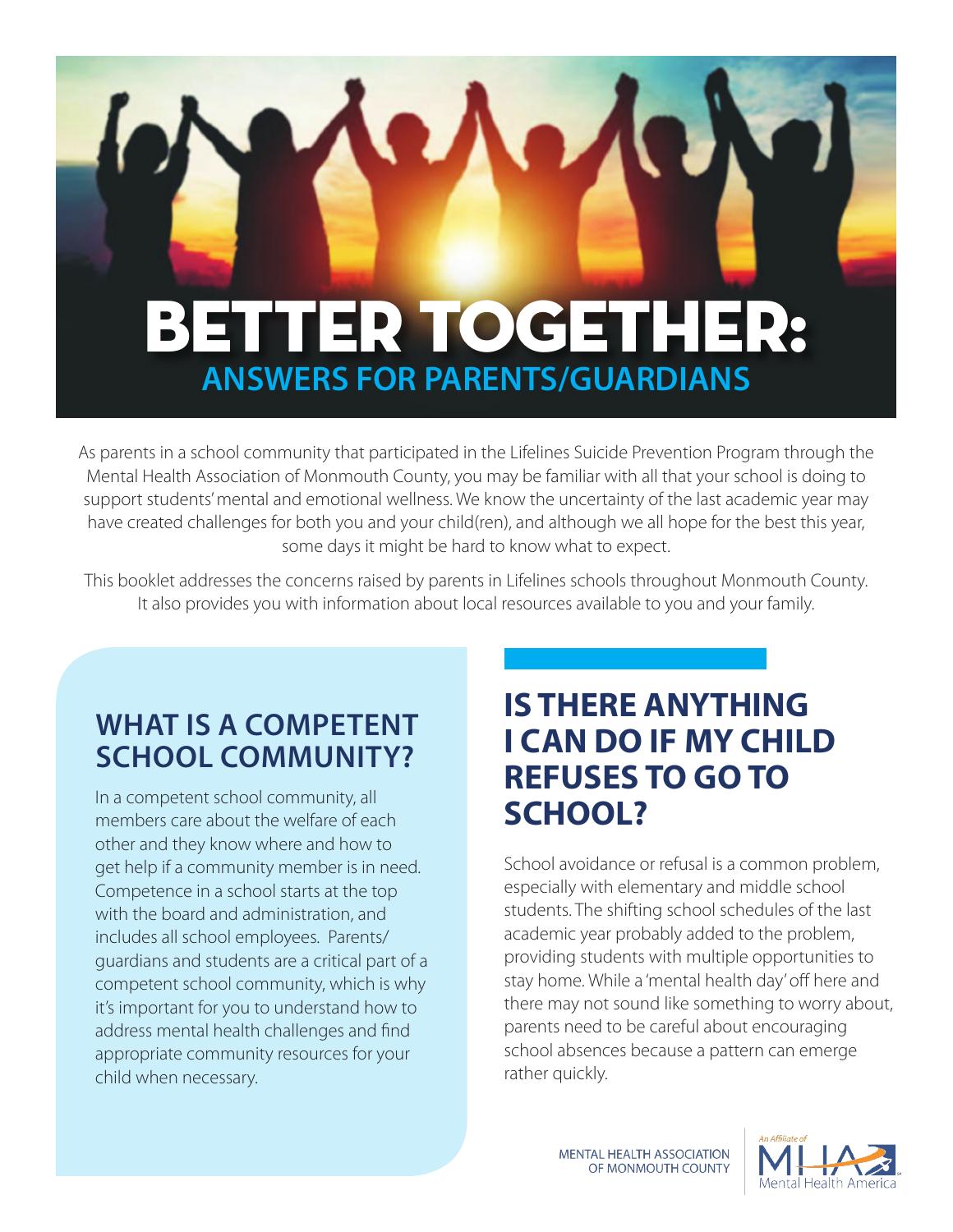# **ANSWERS FOR PARENTS/GUARDIANS** BETTER TOGETHER:

 $\overline{a}$ 

 $\bullet$   $\Lambda$ 

As parents in a school community that participated in the Lifelines Suicide Prevention Program through the Mental Health Association of Monmouth County, you may be familiar with all that your school is doing to support students' mental and emotional wellness. We know the uncertainty of the last academic year may have created challenges for both you and your child(ren), and although we all hope for the best this year, some days it might be hard to know what to expect.

This booklet addresses the concerns raised by parents in Lifelines schools throughout Monmouth County. It also provides you with information about local resources available to you and your family.

## **WHAT IS A COMPETENT SCHOOL COMMUNITY?**

In a competent school community, all members care about the welfare of each other and they know where and how to get help if a community member is in need. Competence in a school starts at the top with the board and administration, and includes all school employees. Parents/ guardians and students are a critical part of a competent school community, which is why it's important for you to understand how to address mental health challenges and find appropriate community resources for your child when necessary.

## **IS THERE ANYTHING I CAN DO IF MY CHILD REFUSES TO GO TO SCHOOL?**

School avoidance or refusal is a common problem, especially with elementary and middle school students. The shifting school schedules of the last academic year probably added to the problem, providing students with multiple opportunities to stay home. While a 'mental health day' off here and there may not sound like something to worry about, parents need to be careful about encouraging school absences because a pattern can emerge rather quickly.

> **MENTAL HEALTH ASSOCIATION** OF MONMOUTH COUNTY

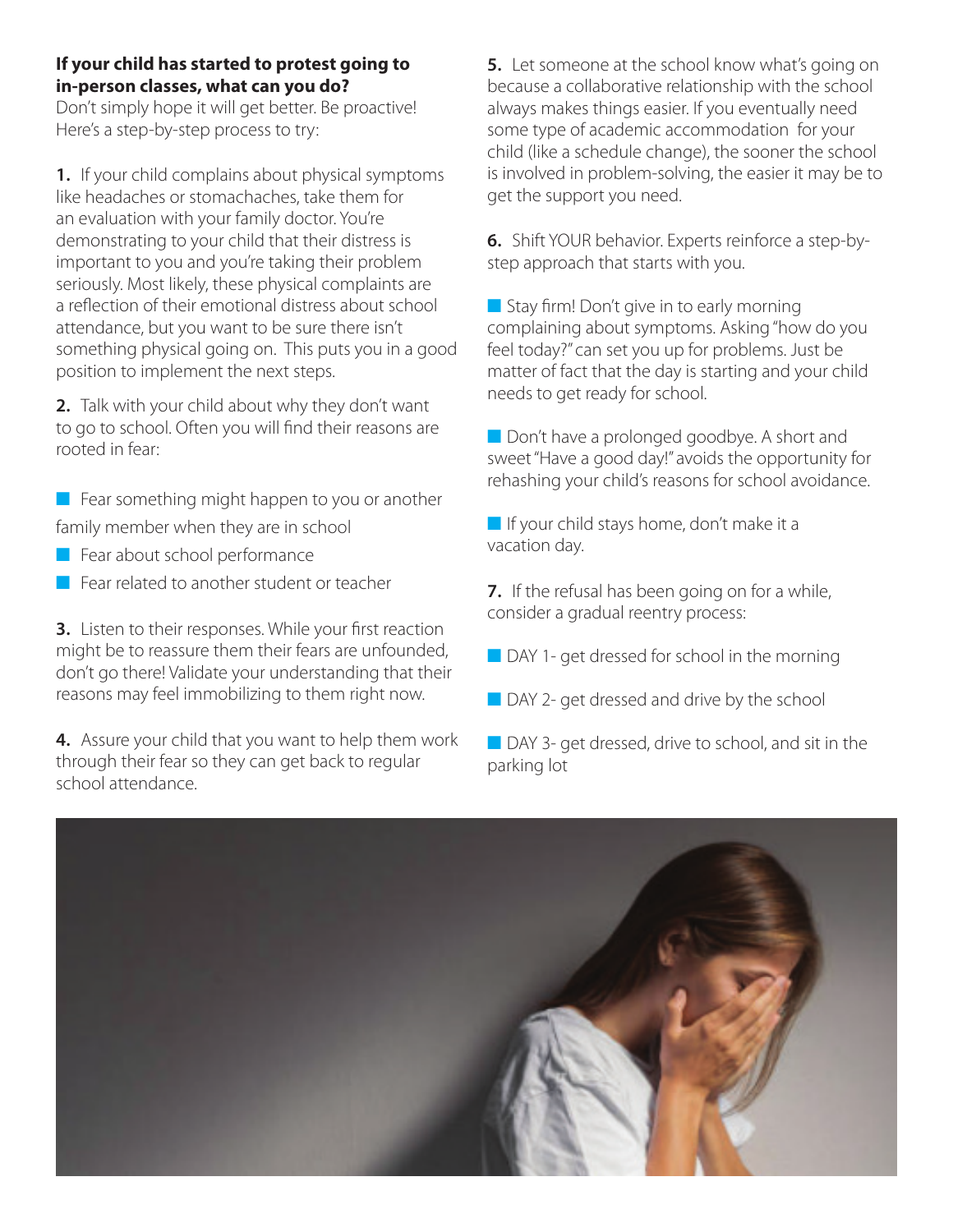#### **If your child has started to protest going to in-person classes, what can you do?**

Don't simply hope it will get better. Be proactive! Here's a step-by-step process to try:

**1.** If your child complains about physical symptoms like headaches or stomachaches, take them for an evaluation with your family doctor. You're demonstrating to your child that their distress is important to you and you're taking their problem seriously. Most likely, these physical complaints are a reflection of their emotional distress about school attendance, but you want to be sure there isn't something physical going on. This puts you in a good position to implement the next steps.

**2.** Talk with your child about why they don't want to go to school. Often you will find their reasons are rooted in fear:

 $\blacksquare$  Fear something might happen to you or another family member when they are in school

- $\blacksquare$  Fear about school performance
- $\blacksquare$  Fear related to another student or teacher

**3.** Listen to their responses. While your first reaction might be to reassure them their fears are unfounded, don't go there! Validate your understanding that their reasons may feel immobilizing to them right now.

**4.** Assure your child that you want to help them work through their fear so they can get back to regular school attendance.

**5.** Let someone at the school know what's going on because a collaborative relationship with the school always makes things easier. If you eventually need some type of academic accommodation for your child (like a schedule change), the sooner the school is involved in problem-solving, the easier it may be to get the support you need.

**6.** Shift YOUR behavior. Experts reinforce a step-bystep approach that starts with you.

 $\blacksquare$  Stay firm! Don't give in to early morning complaining about symptoms. Asking "how do you feel today?" can set you up for problems. Just be matter of fact that the day is starting and your child needs to get ready for school.

Don't have a prolonged goodbye. A short and sweet "Have a good day!" avoids the opportunity for rehashing your child's reasons for school avoidance.

 $\blacksquare$  If your child stays home, don't make it a vacation day.

**7.** If the refusal has been going on for a while, consider a gradual reentry process:

- $\blacksquare$  DAY 1- get dressed for school in the morning
- $\Box$  DAY 2- get dressed and drive by the school

**n** DAY 3- get dressed, drive to school, and sit in the parking lot

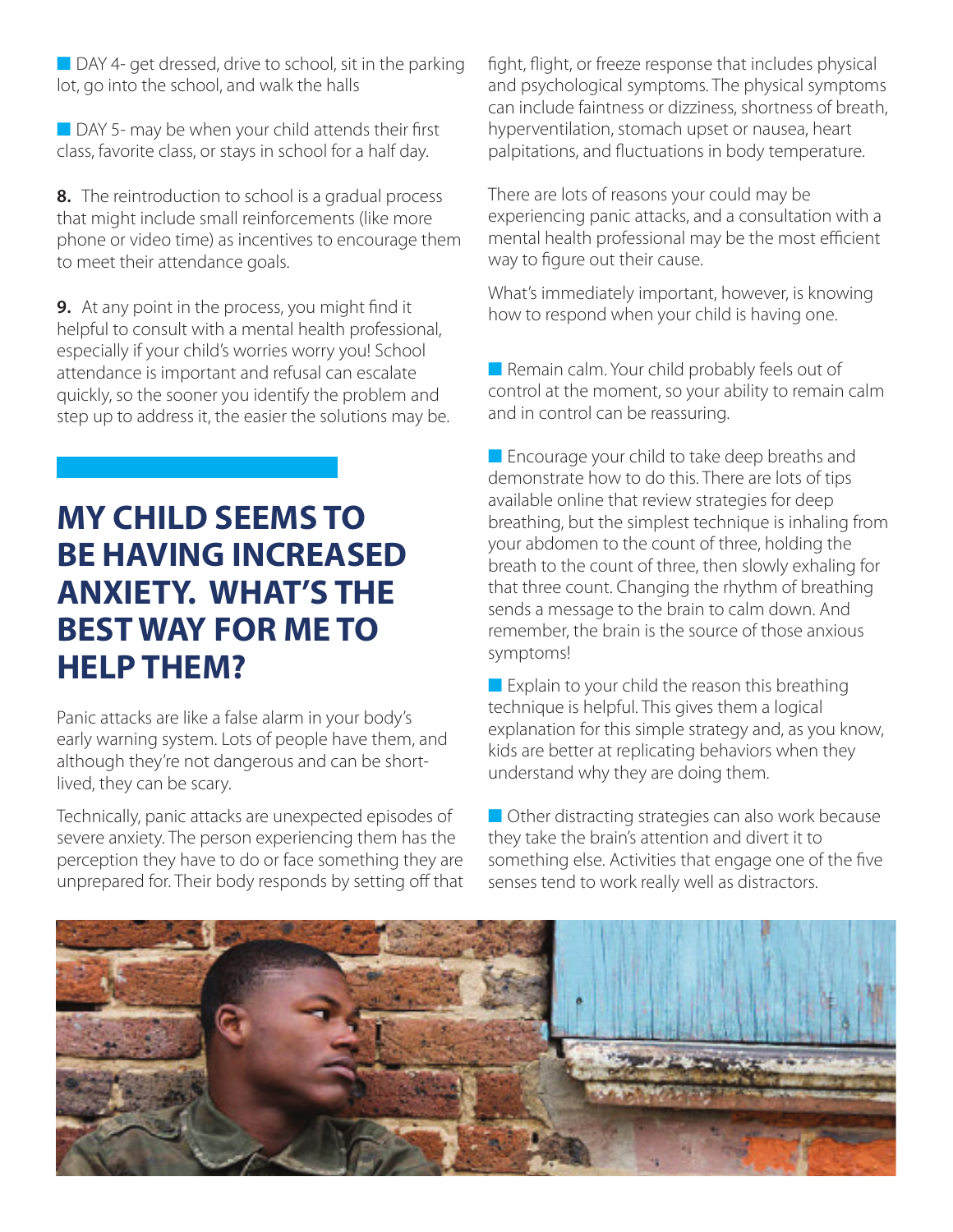$\Box$  DAY 4- get dressed, drive to school, sit in the parking lot, go into the school, and walk the halls

 $\blacksquare$  DAY 5- may be when your child attends their first class, favorite class, or stays in school for a half day.

**8.** The reintroduction to school is a gradual process that might include small reinforcements (like more phone or video time) as incentives to encourage them to meet their attendance goals.

**9.** At any point in the process, you might find it helpful to consult with a mental health professional, especially if your child's worries worry you! School attendance is important and refusal can escalate quickly, so the sooner you identify the problem and step up to address it, the easier the solutions may be.

## **MY CHILD SEEMS TO BE HAVING INCREASED ANXIETY. WHAT'S THE BEST WAY FOR ME TO HELP THEM?**

Panic attacks are like a false alarm in your body's early warning system. Lots of people have them, and although they're not dangerous and can be shortlived, they can be scary.

Technically, panic attacks are unexpected episodes of severe anxiety. The person experiencing them has the perception they have to do or face something they are unprepared for. Their body responds by setting off that fight, flight, or freeze response that includes physical and psychological symptoms. The physical symptoms can include faintness or dizziness, shortness of breath, hyperventilation, stomach upset or nausea, heart palpitations, and fluctuations in body temperature.

There are lots of reasons your could may be experiencing panic attacks, and a consultation with a mental health professional may be the most efficient way to figure out their cause.

What's immediately important, however, is knowing how to respond when your child is having one.

 $\blacksquare$  Remain calm. Your child probably feels out of control at the moment, so your ability to remain calm and in control can be reassuring.

 $\blacksquare$  Encourage your child to take deep breaths and demonstrate how to do this. There are lots of tips available online that review strategies for deep breathing, but the simplest technique is inhaling from your abdomen to the count of three, holding the breath to the count of three, then slowly exhaling for that three count. Changing the rhythm of breathing sends a message to the brain to calm down. And remember, the brain is the source of those anxious symptoms!

 $\blacksquare$  Explain to your child the reason this breathing technique is helpful. This gives them a logical explanation for this simple strategy and, as you know, kids are better at replicating behaviors when they understand why they are doing them.

 $\blacksquare$  Other distracting strategies can also work because they take the brain's attention and divert it to something else. Activities that engage one of the five senses tend to work really well as distractors.

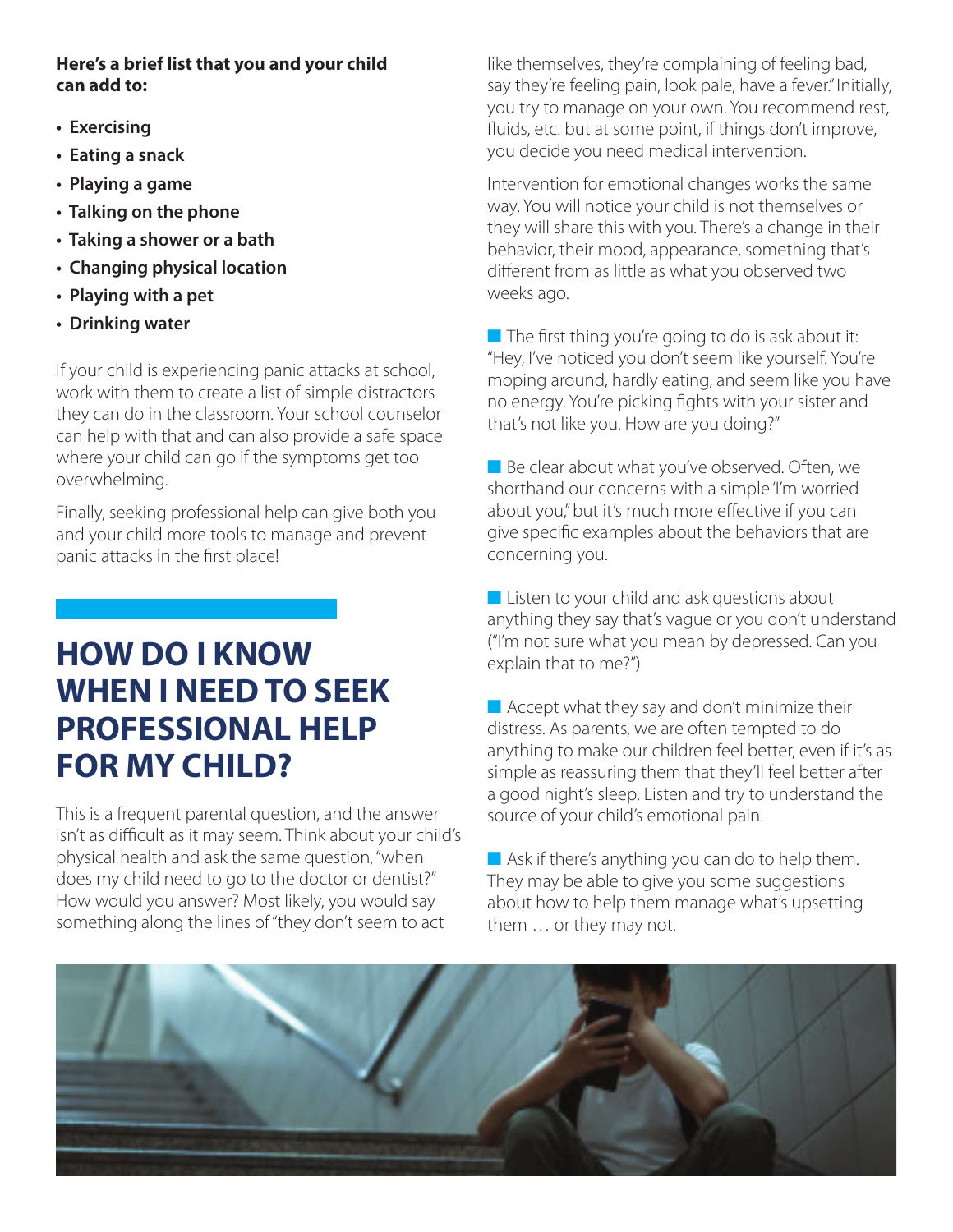#### **Here's a brief list that you and your child can add to:**

- **Exercising**
- **Eating a snack**
- **Playing a game**
- **Talking on the phone**
- **Taking a shower or a bath**
- **Changing physical location**
- **Playing with a pet**
- **Drinking water**

If your child is experiencing panic attacks at school, work with them to create a list of simple distractors they can do in the classroom. Your school counselor can help with that and can also provide a safe space where your child can go if the symptoms get too overwhelming.

Finally, seeking professional help can give both you and your child more tools to manage and prevent panic attacks in the first place!

# **HOW DO I KNOW WHEN I NEED TO SEEK PROFESSIONAL HELP FOR MY CHILD?**

This is a frequent parental question, and the answer isn't as difficult as it may seem. Think about your child's physical health and ask the same question, "when does my child need to go to the doctor or dentist?" How would you answer? Most likely, you would say something along the lines of "they don't seem to act

like themselves, they're complaining of feeling bad, say they're feeling pain, look pale, have a fever." Initially, you try to manage on your own. You recommend rest, fluids, etc. but at some point, if things don't improve, you decide you need medical intervention.

Intervention for emotional changes works the same way. You will notice your child is not themselves or they will share this with you. There's a change in their behavior, their mood, appearance, something that's different from as little as what you observed two weeks ago.

 $\blacksquare$  The first thing you're going to do is ask about it: "Hey, I've noticed you don't seem like yourself. You're moping around, hardly eating, and seem like you have no energy. You're picking fights with your sister and that's not like you. How are you doing?"

 $\blacksquare$  Be clear about what you've observed. Often, we shorthand our concerns with a simple 'I'm worried about you," but it's much more effective if you can give specific examples about the behaviors that are concerning you.

 $\blacksquare$  Listen to your child and ask questions about anything they say that's vague or you don't understand ("I'm not sure what you mean by depressed. Can you explain that to me?")

 $\blacksquare$  Accept what they say and don't minimize their distress. As parents, we are often tempted to do anything to make our children feel better, even if it's as simple as reassuring them that they'll feel better after a good night's sleep. Listen and try to understand the source of your child's emotional pain.

 $\blacksquare$  Ask if there's anything you can do to help them. They may be able to give you some suggestions about how to help them manage what's upsetting them … or they may not.

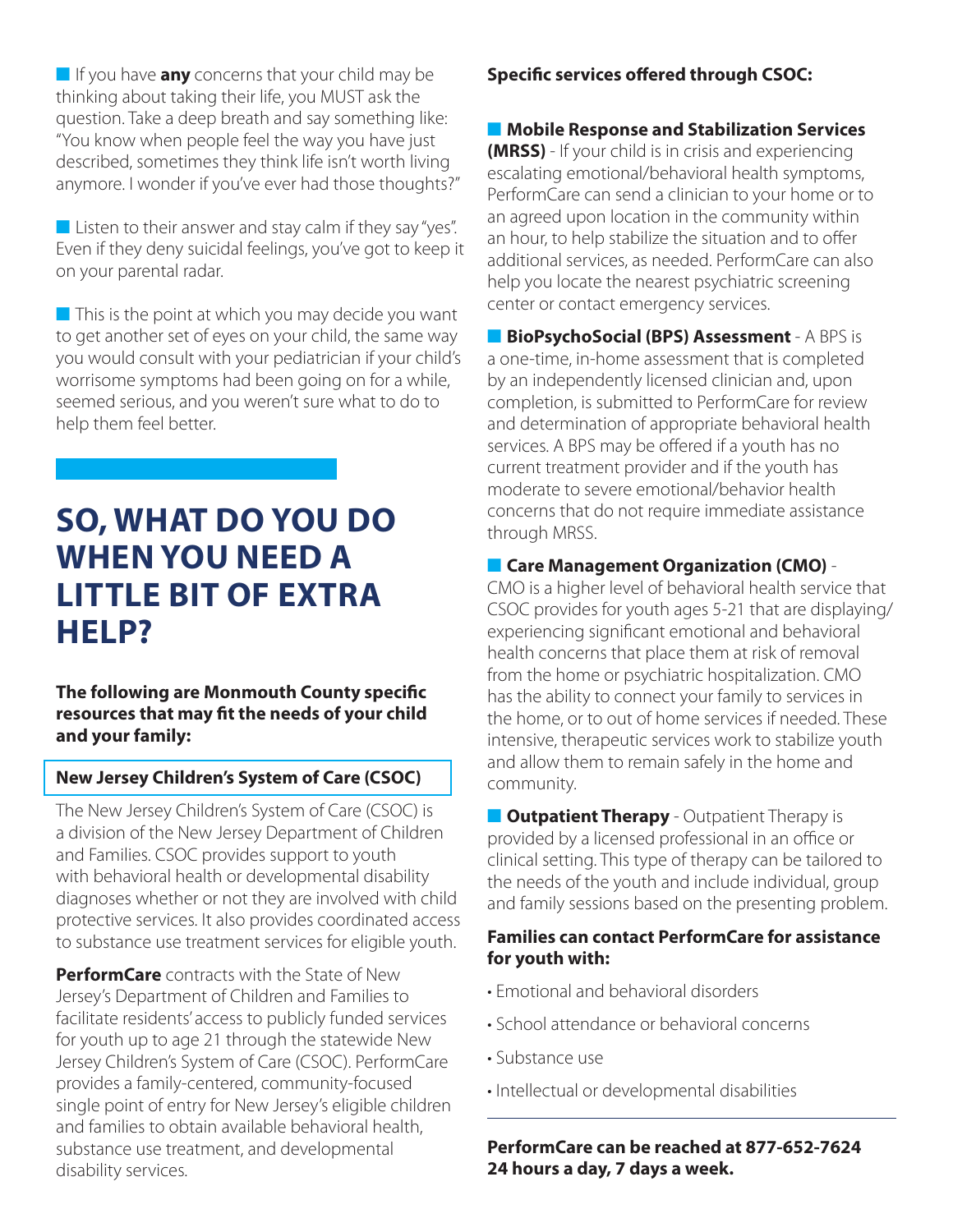**n** If you have **any** concerns that your child may be thinking about taking their life, you MUST ask the question. Take a deep breath and say something like: "You know when people feel the way you have just described, sometimes they think life isn't worth living anymore. I wonder if you've ever had those thoughts?"

 $\blacksquare$  Listen to their answer and stay calm if they say "yes". Even if they deny suicidal feelings, you've got to keep it on your parental radar.

 $\blacksquare$  This is the point at which you may decide you want to get another set of eyes on your child, the same way you would consult with your pediatrician if your child's worrisome symptoms had been going on for a while, seemed serious, and you weren't sure what to do to help them feel better.

## **SO, WHAT DO YOU DO WHEN YOU NEED A LITTLE BIT OF EXTRA HELP?**

**The following are Monmouth County specific resources that may fit the needs of your child and your family:**

#### **New Jersey Children's System of Care (CSOC)**

The New Jersey Children's System of Care (CSOC) is a division of the New Jersey Department of Children and Families. CSOC provides support to youth with behavioral health or developmental disability diagnoses whether or not they are involved with child protective services. It also provides coordinated access to substance use treatment services for eligible youth.

**PerformCare** contracts with the State of New Jersey's Department of Children and Families to facilitate residents' access to publicly funded services for youth up to age 21 through the statewide New Jersey Children's System of Care (CSOC). PerformCare provides a family-centered, community-focused single point of entry for New Jersey's eligible children and families to obtain available behavioral health, substance use treatment, and developmental disability services.

#### **Specific services offered through CSOC:**

**■ Mobile Response and Stabilization Services (MRSS)** - If your child is in crisis and experiencing escalating emotional/behavioral health symptoms, PerformCare can send a clinician to your home or to an agreed upon location in the community within an hour, to help stabilize the situation and to offer additional services, as needed. PerformCare can also help you locate the nearest psychiatric screening center or contact emergency services.

**n** BioPsychoSocial (BPS) Assessment - A BPS is a one-time, in-home assessment that is completed by an independently licensed clinician and, upon completion, is submitted to PerformCare for review and determination of appropriate behavioral health services. A BPS may be offered if a youth has no current treatment provider and if the youth has moderate to severe emotional/behavior health concerns that do not require immediate assistance through MRSS.

#### **n** Care Management Organization (CMO) -

CMO is a higher level of behavioral health service that CSOC provides for youth ages 5-21 that are displaying/ experiencing significant emotional and behavioral health concerns that place them at risk of removal from the home or psychiatric hospitalization. CMO has the ability to connect your family to services in the home, or to out of home services if needed. These intensive, therapeutic services work to stabilize youth and allow them to remain safely in the home and community.

**n Outpatient Therapy** - Outpatient Therapy is provided by a licensed professional in an office or clinical setting. This type of therapy can be tailored to the needs of the youth and include individual, group and family sessions based on the presenting problem.

#### **Families can contact PerformCare for assistance for youth with:**

- Emotional and behavioral disorders
- School attendance or behavioral concerns
- Substance use
- Intellectual or developmental disabilities

**PerformCare can be reached at 877-652-7624 24 hours a day, 7 days a week.**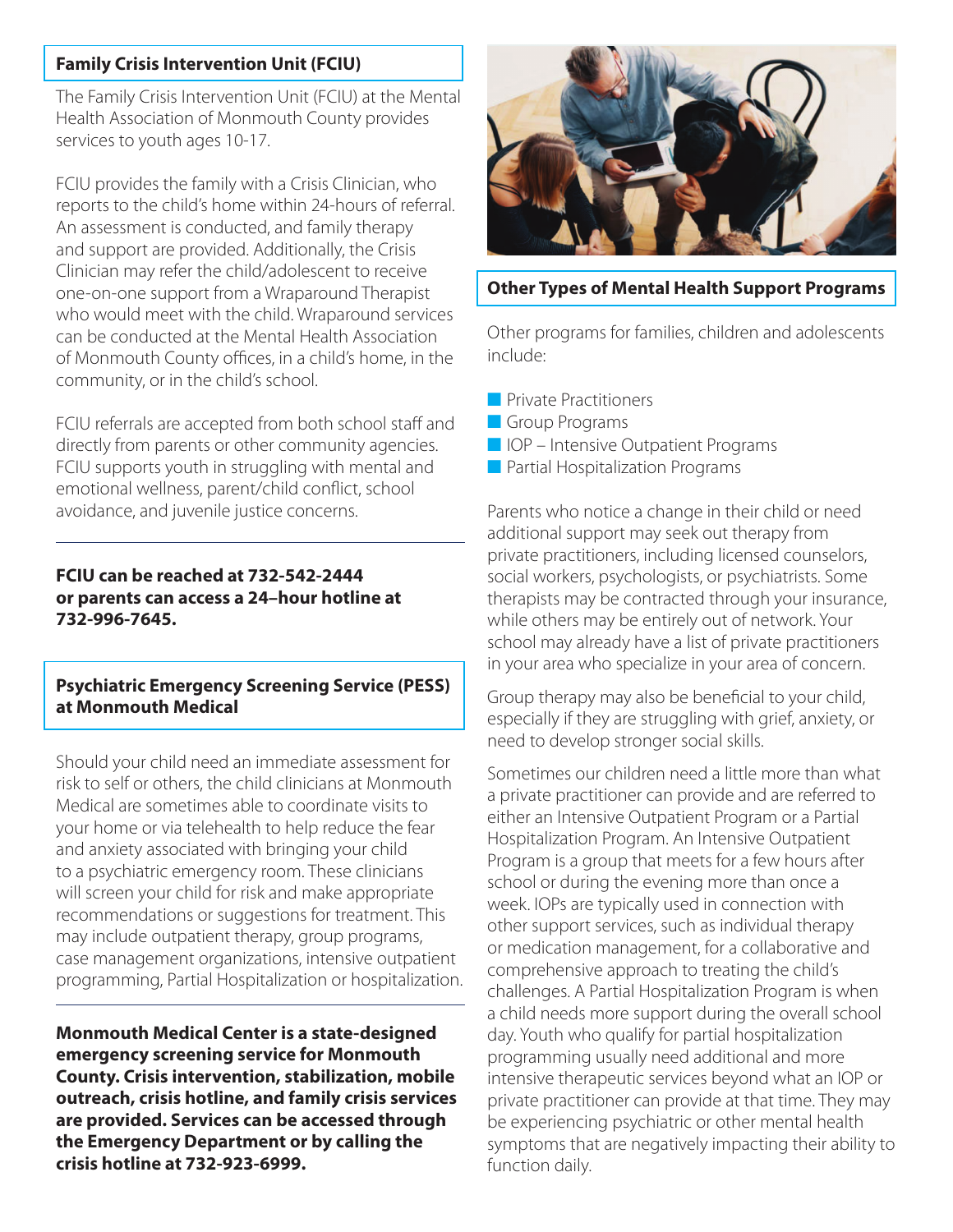#### **Family Crisis Intervention Unit (FCIU)**

The Family Crisis Intervention Unit (FCIU) at the Mental Health Association of Monmouth County provides services to youth ages 10-17.

FCIU provides the family with a Crisis Clinician, who reports to the child's home within 24-hours of referral. An assessment is conducted, and family therapy and support are provided. Additionally, the Crisis Clinician may refer the child/adolescent to receive one-on-one support from a Wraparound Therapist who would meet with the child. Wraparound services can be conducted at the Mental Health Association of Monmouth County offices, in a child's home, in the community, or in the child's school.

FCIU referrals are accepted from both school staff and directly from parents or other community agencies. FCIU supports youth in struggling with mental and emotional wellness, parent/child conflict, school avoidance, and juvenile justice concerns.

#### **FCIU can be reached at 732-542-2444 or parents can access a 24–hour hotline at 732-996-7645.**

#### **Psychiatric Emergency Screening Service (PESS) at Monmouth Medical**

Should your child need an immediate assessment for risk to self or others, the child clinicians at Monmouth Medical are sometimes able to coordinate visits to your home or via telehealth to help reduce the fear and anxiety associated with bringing your child to a psychiatric emergency room. These clinicians will screen your child for risk and make appropriate recommendations or suggestions for treatment. This may include outpatient therapy, group programs, case management organizations, intensive outpatient programming, Partial Hospitalization or hospitalization.

**Monmouth Medical Center is a state-designed emergency screening service for Monmouth County. Crisis intervention, stabilization, mobile outreach, crisis hotline, and family crisis services are provided. Services can be accessed through the Emergency Department or by calling the crisis hotline at 732-923-6999.** 



#### **Other Types of Mental Health Support Programs**

Other programs for families, children and adolescents include:

- **n** Private Practitioners
- **n** Group Programs
- $\blacksquare$  IOP Intensive Outpatient Programs
- $\blacksquare$  Partial Hospitalization Programs

Parents who notice a change in their child or need additional support may seek out therapy from private practitioners, including licensed counselors, social workers, psychologists, or psychiatrists. Some therapists may be contracted through your insurance, while others may be entirely out of network. Your school may already have a list of private practitioners in your area who specialize in your area of concern.

Group therapy may also be beneficial to your child, especially if they are struggling with grief, anxiety, or need to develop stronger social skills.

Sometimes our children need a little more than what a private practitioner can provide and are referred to either an Intensive Outpatient Program or a Partial Hospitalization Program. An Intensive Outpatient Program is a group that meets for a few hours after school or during the evening more than once a week. IOPs are typically used in connection with other support services, such as individual therapy or medication management, for a collaborative and comprehensive approach to treating the child's challenges. A Partial Hospitalization Program is when a child needs more support during the overall school day. Youth who qualify for partial hospitalization programming usually need additional and more intensive therapeutic services beyond what an IOP or private practitioner can provide at that time. They may be experiencing psychiatric or other mental health symptoms that are negatively impacting their ability to function daily.